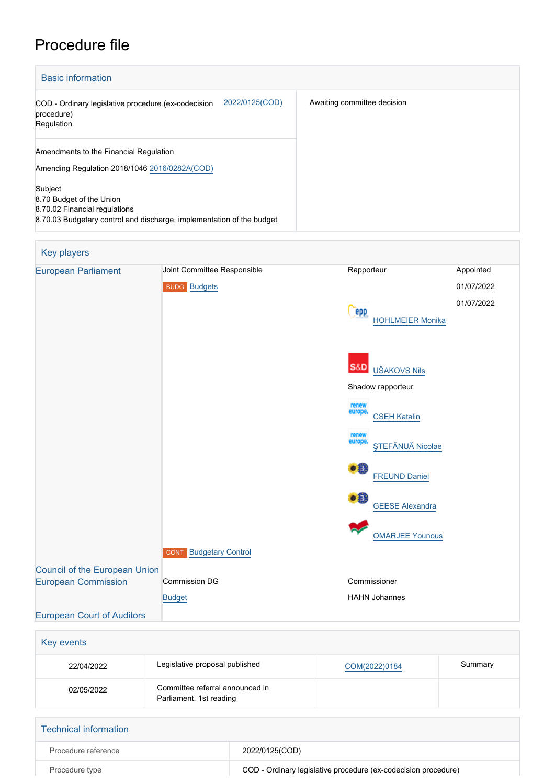# Procedure file

| <b>Basic information</b>                                                                                                                      |                             |  |  |  |  |
|-----------------------------------------------------------------------------------------------------------------------------------------------|-----------------------------|--|--|--|--|
| 2022/0125(COD)<br>COD - Ordinary legislative procedure (ex-codecision<br>procedure)<br>Regulation                                             | Awaiting committee decision |  |  |  |  |
| Amendments to the Financial Regulation<br>Amending Regulation 2018/1046 2016/0282A(COD)                                                       |                             |  |  |  |  |
| Subject<br>8.70 Budget of the Union<br>8.70.02 Financial regulations<br>8.70.03 Budgetary control and discharge, implementation of the budget |                             |  |  |  |  |

## Key players [European Parliament](http://www.europarl.europa.eu/) Joint Committee Responsible **Rapporteur** Rapporteur Appointed BUDG [Budgets](http://www.europarl.europa.eu/committees/en/budg/home.html) 01/07/2022 01/07/2022 Cepp [HOHLMEIER Monika](http://www.europarl.europa.eu/meps/en/96780) **S&D**  [UŠAKOVS Nils](http://www.europarl.europa.eu/meps/en/197810) Shadow rapporteur [CSEH Katalin](http://www.europarl.europa.eu/meps/en/197588) [ŞTEFĂNUĂ Nicolae](http://www.europarl.europa.eu/meps/en/58766) [FREUND Daniel](http://www.europarl.europa.eu/meps/en/106936)  $\bullet$   $\bullet$  [GEESE Alexandra](http://www.europarl.europa.eu/meps/en/183916) [OMARJEE Younous](http://www.europarl.europa.eu/meps/en/30482) **CONT** [Budgetary Control](http://www.europarl.europa.eu/committees/en/cont/home.html) [Council of the European Union](http://www.consilium.europa.eu) [European Commission](http://ec.europa.eu/) Commission DG Commissioner [Budget](http://ec.europa.eu/info/departments/budget_en) HAHN Johannes [European Court of Auditors](http://eca.europa.eu)

| Key events |                                                            |               |         |
|------------|------------------------------------------------------------|---------------|---------|
| 22/04/2022 | Legislative proposal published                             | COM(2022)0184 | Summary |
| 02/05/2022 | Committee referral announced in<br>Parliament, 1st reading |               |         |
|            |                                                            |               |         |

| <b>Technical information</b> |                                                                |
|------------------------------|----------------------------------------------------------------|
| Procedure reference          | 2022/0125(COD)                                                 |
| Procedure type               | COD - Ordinary legislative procedure (ex-codecision procedure) |